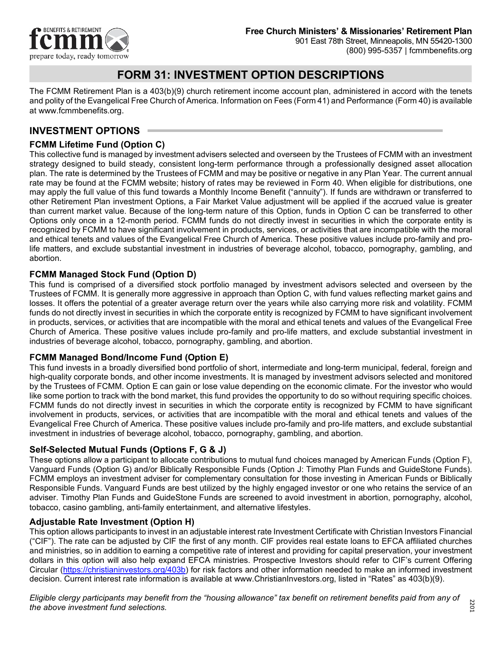

# **FORM 31: INVESTMENT OPTION DESCRIPTIONS**

The FCMM Retirement Plan is a 403(b)(9) church retirement income account plan, administered in accord with the tenets and polity of the Evangelical Free Church of America. Information on Fees (Form 41) and Performance (Form 40) is available at www[.fcmmbenefits.org.](http://www.fcmmbenefits.org/)

## **INVESTMENT OPTIONS**

## **FCMM Lifetime Fund (Option C)**

This collective fund is managed by investment advisers selected and overseen by the Trustees of FCMM with an investment strategy designed to build steady, consistent long-term performance through a professionally designed asset allocation plan. The rate is determined by the Trustees of FCMM and may be positive or negative in any Plan Year. The current annual rate may be found at the FCMM website; history of rates may be reviewed in Form 40. When eligible for distributions, one may apply the full value of this fund towards a Monthly Income Benefit ("annuity"). If funds are withdrawn or transferred to other Retirement Plan investment Options, a Fair Market Value adjustment will be applied if the accrued value is greater than current market value. Because of the long-term nature of this Option, funds in Option C can be transferred to other Options only once in a 12-month period. FCMM funds do not directly invest in securities in which the corporate entity is recognized by FCMM to have significant involvement in products, services, or activities that are incompatible with the moral and ethical tenets and values of the Evangelical Free Church of America. These positive values include pro-family and prolife matters, and exclude substantial investment in industries of beverage alcohol, tobacco, pornography, gambling, and abortion.

### **FCMM Managed Stock Fund (Option D)**

This fund is comprised of a diversified stock portfolio managed by investment advisors selected and overseen by the Trustees of FCMM. It is generally more aggressive in approach than Option C, with fund values reflecting market gains and losses. It offers the potential of a greater average return over the years while also carrying more risk and volatility. FCMM funds do not directly invest in securities in which the corporate entity is recognized by FCMM to have significant involvement in products, services, or activities that are incompatible with the moral and ethical tenets and values of the Evangelical Free Church of America. These positive values include pro-family and pro-life matters, and exclude substantial investment in industries of beverage alcohol, tobacco, pornography, gambling, and abortion.

### **FCMM Managed Bond/Income Fund (Option E)**

This fund invests in a broadly diversified bond portfolio of short, intermediate and long-term municipal, federal, foreign and high-quality corporate bonds, and other income investments. It is managed by investment advisors selected and monitored by the Trustees of FCMM. Option E can gain or lose value depending on the economic climate. For the investor who would like some portion to track with the bond market, this fund provides the opportunity to do so without requiring specific choices. FCMM funds do not directly invest in securities in which the corporate entity is recognized by FCMM to have significant involvement in products, services, or activities that are incompatible with the moral and ethical tenets and values of the Evangelical Free Church of America. These positive values include pro-family and pro-life matters, and exclude substantial investment in industries of beverage alcohol, tobacco, pornography, gambling, and abortion.

#### **Self-Selected Mutual Funds (Options F, G & J)**

These options allow a participant to allocate contributions to mutual fund choices managed by American Funds (Option F), Vanguard Funds (Option G) and/or Biblically Responsible Funds (Option J: Timothy Plan Funds and GuideStone Funds). FCMM employs an investment adviser for complementary consultation for those investing in American Funds or Biblically Responsible Funds. Vanguard Funds are best utilized by the highly engaged investor or one who retains the service of an adviser. Timothy Plan Funds and GuideStone Funds are screened to avoid investment in abortion, pornography, alcohol, tobacco, casino gambling, anti-family entertainment, and alternative lifestyles.

#### **Adjustable Rate Investment (Option H)**

This option allows participants to invest in an adjustable interest rate Investment Certificate with Christian Investors Financial ("CIF"). The rate can be adjusted by CIF the first of any month. CIF provides real estate loans to EFCA affiliated churches and ministries, so in addition to earning a competitive rate of interest and providing for capital preservation, your investment dollars in this option will also help expand EFCA ministries. Prospective Investors should refer to CIF's current Offering Circular [\(https://christianinvestors.org/403b\)](https://christianinvestors.org/403b) for risk factors and other information needed to make an informed investment decision. Current interest rate information is available at [www.ChristianInvestors.org,](http://www.christianinvestors.org/) listed in "Rates" as 403(b)(9).

*Eligible clergy participants may benefit from the "housing allowance" tax benefit on retirement benefits paid from any of the above investment fund selections.*